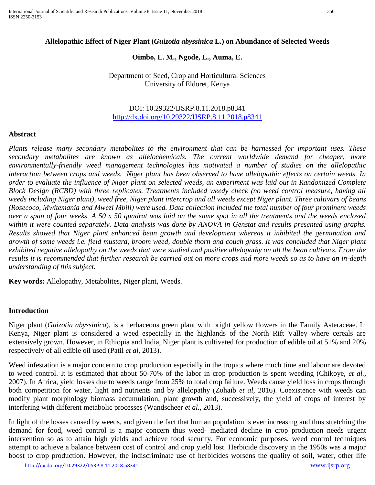## **Allelopathic Effect of Niger Plant (***Guizotia abyssinica* **L.) on Abundance of Selected Weeds**

### **Oimbo, L. M., Ngode, L., Auma, E.**

Department of Seed, Crop and Horticultural Sciences University of Eldoret, Kenya

## DOI: 10.29322/IJSRP.8.11.2018.p8341 <http://dx.doi.org/10.29322/IJSRP.8.11.2018.p8341>

#### **Abstract**

*Plants release many secondary metabolites to the environment that can be harnessed for important uses. These secondary metabolites are known as allelochemicals. The current worldwide demand for cheaper, more environmentally-friendly weed management technologies has motivated a number of studies on the allelopathic interaction between crops and weeds. Niger plant has been observed to have allelopathic effects on certain weeds. In order to evaluate the influence of Niger plant on selected weeds, an experiment was laid out in Randomized Complete Block Design (RCBD) with three replicates. Treatments included weedy check (no weed control measure, having all weeds including Niger plant), weed free, Niger plant intercrop and all weeds except Niger plant. Three cultivars of beans (Rosecoco, Mwitemania and Mwezi Mbili) were used. Data collection included the total number of four prominent weeds over a span of four weeks. A 50 x 50 quadrat was laid on the same spot in all the treatments and the weeds enclosed*  within it were counted separately. Data analysis was done by ANOVA in Genstat and results presented using graphs. *Results showed that Niger plant enhanced bean growth and development whereas it inhibited the germination and growth of some weeds i.e. field mustard, broom weed, double thorn and couch grass. It was concluded that Niger plant exhibited negative allelopathy on the weeds that were studied and positive allelopathy on all the bean cultivars. From the results it is recommended that further research be carried out on more crops and more weeds so as to have an in-depth understanding of this subject.*

**Key words:** Allelopathy, Metabolites, Niger plant, Weeds.

#### **Introduction**

Niger plant (*Guizotia abyssinica*), is a herbaceous green plant with bright yellow flowers in the Family Asteraceae. In Kenya, Niger plant is considered a weed especially in the highlands of the North Rift Valley where cereals are extensively grown. However, in Ethiopia and India, Niger plant is cultivated for production of edible oil at 51% and 20% respectively of all edible oil used (Patil *et al,* 2013).

Weed infestation is a major concern to crop production especially in the tropics where much time and labour are devoted to weed control. It is estimated that about 50-70% of the labor in crop production is spent weeding (Chikoye, *et al.,*  2007). In Africa, yield losses due to weeds range from 25% to total crop failure. Weeds cause yield loss in crops through both competition for water, light and nutrients and by allelopathy (Zohaib *et al,* 2016). Coexistence with weeds can modify plant morphology biomass accumulation, plant growth and, successively, the yield of crops of interest by interfering with different metabolic processes (Wandscheer *et al.,* 2013).

In light of the losses caused by weeds, and given the fact that human population is ever increasing and thus stretching the demand for food, weed control is a major concern thus weed- mediated decline in crop production needs urgent intervention so as to attain high yields and achieve food security. For economic purposes, weed control techniques attempt to achieve a balance between cost of control and crop yield lost. Herbicide discovery in the 1950s was a major boost to crop production. However, the indiscriminate use of herbicides worsens the quality of soil, water, other life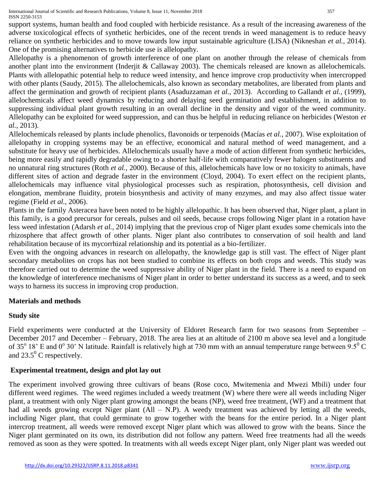support systems, human health and food coupled with herbicide resistance. As a result of the increasing awareness of the adverse toxicological effects of synthetic herbicides, one of the recent trends in weed management is to reduce heavy reliance on synthetic herbicides and to move towards low input sustainable agriculture (LISA) (Nikneshan *et al.,* 2014). One of the promising alternatives to herbicide use is allelopathy.

Allelopathy is a phenomenon of growth interference of one plant on another through the release of chemicals from another plant into the environment (Inderjit & Callaway 2003). The chemicals released are known as allelochemicals. Plants with allelopathic potential help to reduce weed intensity, and hence improve crop productivity when intercropped with other plants (Saudy, 2015). The allelochemicals, also known as secondary metabolites, are liberated from plants and affect the germination and growth of recipient plants (Asaduzzaman *et al.,* 2013). According to Gallandt *et al.,* (1999), allelochemicals affect weed dynamics by reducing and delaying seed germination and establishment, in addition to suppressing individual plant growth resulting in an overall decline in the density and vigor of the weed community. Allelopathy can be exploited for weed suppression, and can thus be helpful in reducing reliance on herbicides (Weston *et al.,* 2013).

Allelochemicals released by plants include phenolics, flavonoids or terpenoids (Macías *et al.,* 2007). Wise exploitation of allelopathy in cropping systems may be an effective, economical and natural method of weed management, and a substitute for heavy use of herbicides. Allelochemicals usually have a mode of action different from synthetic herbicides, being more easily and rapidly degradable owing to a shorter half-life with comparatively fewer halogen substituents and no unnatural ring structures (Roth *et al.,* 2000). Because of this, allelochemicals have low or no toxicity to animals, have different sites of action and degrade faster in the environment (Cloyd, 2004). To exert effect on the recipient plants, allelochemicals may influence vital physiological processes such as respiration, photosynthesis, cell division and elongation, membrane fluidity, protein biosynthesis and activity of many enzymes, and may also affect tissue water regime (Field *et al.,* 2006).

Plants in the family Asteracea have been noted to be highly allelopathic. It has been observed that, Niger plant, a plant in this family, is a good precursor for cereals, pulses and oil seeds, because crops following Niger plant in a rotation have less weed infestation (Adarsh *et al.,* 2014) implying that the previous crop of Niger plant exudes some chemicals into the rhizosphere that affect growth of other plants. Niger plant also contributes to conservation of soil health and land rehabilitation because of its mycorrhizal relationship and its potential as a bio-fertilizer.

Even with the ongoing advances in research on allelopathy, the knowledge gap is still vast. The effect of Niger plant secondary metabolites on crops has not been studied to combine its effects on both crops and weeds. This study was therefore carried out to determine the weed suppressive ability of Niger plant in the field. There is a need to expand on the knowledge of interference mechanisms of Niger plant in order to better understand its success as a weed, and to seek ways to harness its success in improving crop production.

# **Materials and methods**

# **Study site**

Field experiments were conducted at the University of Eldoret Research farm for two seasons from September – December 2017 and December – February, 2018. The area lies at an altitude of 2100 m above sea level and a longitude of 35 $^{\circ}$  18' E and 0 $^{\circ}$  30' N latitude. Rainfall is relatively high at 730 mm with an annual temperature range between 9.5 $^{\circ}$  C and  $23.5^{\circ}$  C respectively.

# **Experimental treatment, design and plot lay out**

The experiment involved growing three cultivars of beans (Rose coco, Mwitemenia and Mwezi Mbili) under four different weed regimes. The weed regimes included a weedy treatment (W) where there were all weeds including Niger plant, a treatment with only Niger plant growing amongst the beans (NP), weed free treatment, (WF) and a treatment that had all weeds growing except Niger plant (All – N.P). A weedy treatment was achieved by letting all the weeds, including Niger plant, that could germinate to grow together with the beans for the entire period. In a Niger plant intercrop treatment, all weeds were removed except Niger plant which was allowed to grow with the beans. Since the Niger plant germinated on its own, its distribution did not follow any pattern. Weed free treatments had all the weeds removed as soon as they were spotted. In treatments with all weeds except Niger plant, only Niger plant was weeded out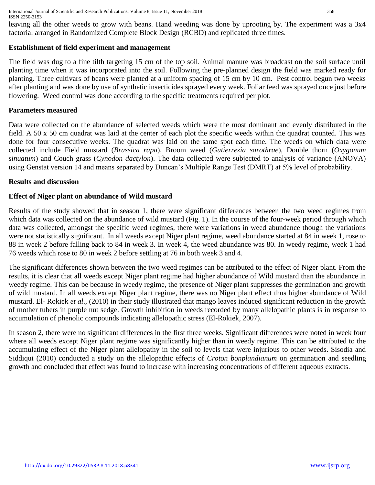International Journal of Scientific and Research Publications, Volume 8, Issue 11, November 2018 358 ISSN 2250-3153

leaving all the other weeds to grow with beans. Hand weeding was done by uprooting by. The experiment was a 3x4 factorial arranged in Randomized Complete Block Design (RCBD) and replicated three times.

### **Establishment of field experiment and management**

The field was dug to a fine tilth targeting 15 cm of the top soil. Animal manure was broadcast on the soil surface until planting time when it was incorporated into the soil. Following the pre-planned design the field was marked ready for planting. Three cultivars of beans were planted at a uniform spacing of 15 cm by 10 cm. Pest control begun two weeks after planting and was done by use of synthetic insecticides sprayed every week. Foliar feed was sprayed once just before flowering. Weed control was done according to the specific treatments required per plot.

#### **Parameters measured**

Data were collected on the abundance of selected weeds which were the most dominant and evenly distributed in the field. A 50 x 50 cm quadrat was laid at the center of each plot the specific weeds within the quadrat counted. This was done for four consecutive weeks. The quadrat was laid on the same spot each time. The weeds on which data were collected include Field mustard (*Brassica rapa*), Broom weed (*Gutierrezia sarothrae*), Double thorn (*Oxygonum sinuatum*) and Couch grass (*Cynodon dactylon*). The data collected were subjected to analysis of variance (ANOVA) using Genstat version 14 and means separated by Duncan's Multiple Range Test (DMRT) at 5% level of probability.

#### **Results and discussion**

#### **Effect of Niger plant on abundance of Wild mustard**

Results of the study showed that in season 1, there were significant differences between the two weed regimes from which data was collected on the abundance of wild mustard (Fig. 1). In the course of the four-week period through which data was collected, amongst the specific weed regimes, there were variations in weed abundance though the variations were not statistically significant. In all weeds except Niger plant regime, weed abundance started at 84 in week 1, rose to 88 in week 2 before falling back to 84 in week 3. In week 4, the weed abundance was 80. In weedy regime, week 1 had 76 weeds which rose to 80 in week 2 before settling at 76 in both week 3 and 4.

The significant differences shown between the two weed regimes can be attributed to the effect of Niger plant. From the results, it is clear that all weeds except Niger plant regime had higher abundance of Wild mustard than the abundance in weedy regime. This can be because in weedy regime, the presence of Niger plant suppresses the germination and growth of wild mustard. In all weeds except Niger plant regime, there was no Niger plant effect thus higher abundance of Wild mustard. El- Rokiek *et al*., (2010) in their study illustrated that mango leaves induced significant reduction in the growth of mother tubers in purple nut sedge. Growth inhibition in weeds recorded by many allelopathic plants is in response to accumulation of phenolic compounds indicating allelopathic stress (El-Rokiek, 2007).

In season 2, there were no significant differences in the first three weeks. Significant differences were noted in week four where all weeds except Niger plant regime was significantly higher than in weedy regime. This can be attributed to the accumulating effect of the Niger plant allelopathy in the soil to levels that were injurious to other weeds. Sisodia and Siddiqui (2010) conducted a study on the allelopathic effects of *Croton bonplandianum* on germination and seedling growth and concluded that effect was found to increase with increasing concentrations of different aqueous extracts.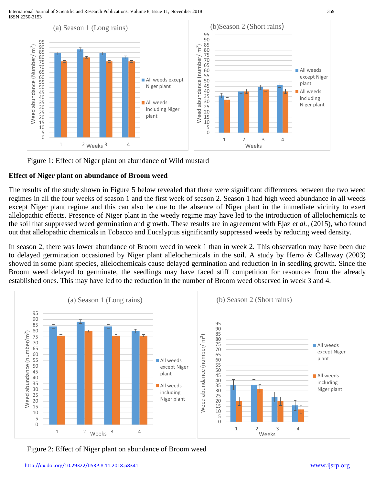

Figure 1: Effect of Niger plant on abundance of Wild mustard

# **Effect of Niger plant on abundance of Broom weed**

The results of the study shown in Figure 5 below revealed that there were significant differences between the two weed regimes in all the four weeks of season 1 and the first week of season 2. Season 1 had high weed abundance in all weeds except Niger plant regime and this can also be due to the absence of Niger plant in the immediate vicinity to exert allelopathic effects. Presence of Niger plant in the weedy regime may have led to the introduction of allelochemicals to the soil that suppressed weed germination and growth. These results are in agreement with Ejaz *et al.,* (2015), who found out that allelopathic chemicals in Tobacco and Eucalyptus significantly suppressed weeds by reducing weed density.

In season 2, there was lower abundance of Broom weed in week 1 than in week 2. This observation may have been due to delayed germination occasioned by Niger plant allelochemicals in the soil. A study by Herro & Callaway (2003) showed in some plant species, allelochemicals cause delayed germination and reduction in in seedling growth. Since the Broom weed delayed to germinate, the seedlings may have faced stiff competition for resources from the already established ones. This may have led to the reduction in the number of Broom weed observed in week 3 and 4.



Figure 2: Effect of Niger plant on abundance of Broom weed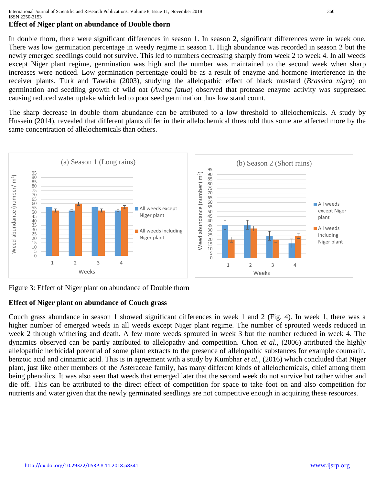# **Effect of Niger plant on abundance of Double thorn**

In double thorn, there were significant differences in season 1. In season 2, significant differences were in week one. There was low germination percentage in weedy regime in season 1. High abundance was recorded in season 2 but the newly emerged seedlings could not survive. This led to numbers decreasing sharply from week 2 to week 4. In all weeds except Niger plant regime, germination was high and the number was maintained to the second week when sharp increases were noticed. Low germination percentage could be as a result of enzyme and hormone interference in the receiver plants. Turk and Tawaha (2003), studying the allelopathic effect of black mustard (*Brassica nigra*) on germination and seedling growth of wild oat (*Avena fatua*) observed that protease enzyme activity was suppressed causing reduced water uptake which led to poor seed germination thus low stand count.

The sharp decrease in double thorn abundance can be attributed to a low threshold to allelochemicals. A study by Hussein (2014), revealed that different plants differ in their allelochemical threshold thus some are affected more by the same concentration of allelochemicals than others.



Figure 3: Effect of Niger plant on abundance of Double thorn

# **Effect of Niger plant on abundance of Couch grass**

Couch grass abundance in season 1 showed significant differences in week 1 and 2 (Fig. 4). In week 1, there was a higher number of emerged weeds in all weeds except Niger plant regime. The number of sprouted weeds reduced in week 2 through withering and death. A few more weeds sprouted in week 3 but the number reduced in week 4. The dynamics observed can be partly attributed to allelopathy and competition. Chon *et al.,* (2006) attributed the highly allelopathic herbicidal potential of some plant extracts to the presence of allelopathic substances for example coumarin, benzoic acid and cinnamic acid. This is in agreement with a study by Kumbhar *et al.,* (2016) which concluded that Niger plant, just like other members of the Asteraceae family, has many different kinds of allelochemicals, chief among them being phenolics. It was also seen that weeds that emerged later that the second week do not survive but rather wither and die off. This can be attributed to the direct effect of competition for space to take foot on and also competition for nutrients and water given that the newly germinated seedlings are not competitive enough in acquiring these resources.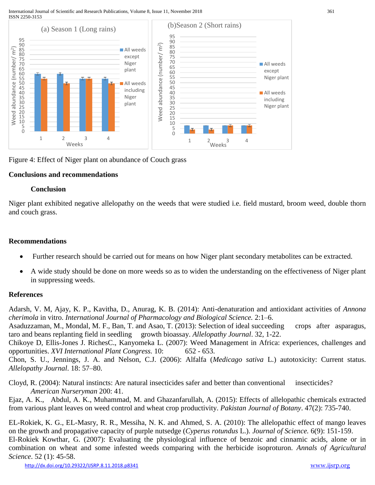

Figure 4: Effect of Niger plant on abundance of Couch grass

## **Conclusions and recommendations**

### **Conclusion**

Niger plant exhibited negative allelopathy on the weeds that were studied i.e. field mustard, broom weed, double thorn and couch grass.

## **Recommendations**

- Further research should be carried out for means on how Niger plant secondary metabolites can be extracted.
- A wide study should be done on more weeds so as to widen the understanding on the effectiveness of Niger plant in suppressing weeds.

## **References**

Adarsh, V. M, Ajay, K. P., Kavitha, D., Anurag, K. B. (2014): Anti-denaturation and antioxidant activities of *Annona cherimola* in vitro. *International Journal of Pharmacology and Biological Science.* 2:1–6. Asaduzzaman, M., Mondal, M. F., Ban, T. and Asao, T. (2013): Selection of ideal succeeding crops after asparagus, taro and beans replanting field in seedling growth bioassay. *Allelopathy Journal*. 32, 1-22.

Chikoye D, Ellis-Jones J. RichesC., Kanyomeka L. (2007): Weed Management in Africa: experiences, challenges and opportunities. *XVI International Plant Congress.* 10: 652 - 653.

Chon, S. U., Jennings, J. A. and Nelson, C.J. (2006): Alfalfa (*Medicago sativa* L.) autotoxicity: Current status. *Allelopathy Journal*. 18: 57–80.

Cloyd, R. (2004): Natural instincts: Are natural insecticides safer and better than conventional insecticides? *American Nurseryman* 200: 41.

Ejaz, A. K., Abdul, A. K., Muhammad, M. and Ghazanfarullah, A. (2015): Effects of allelopathic chemicals extracted from various plant leaves on weed control and wheat crop productivity. *Pakistan Journal of Botany*. 47(2): 735-740.

EL-Rokiek, K. G., EL-Masry, R. R., Messiha, N. K. and Ahmed, S. A. (2010): The allelopathic effect of mango leaves on the growth and propagative capacity of purple nutsedge (*Cyperus rotundus* L.). *Journal of Science.* 6(9): 151-159. El-Rokiek Kowthar, G. (2007): Evaluating the physiological influence of benzoic and cinnamic acids, alone or in combination on wheat and some infested weeds comparing with the herbicide isoproturon. *Annals of Agricultural Science*. 52 (1): 45-58.